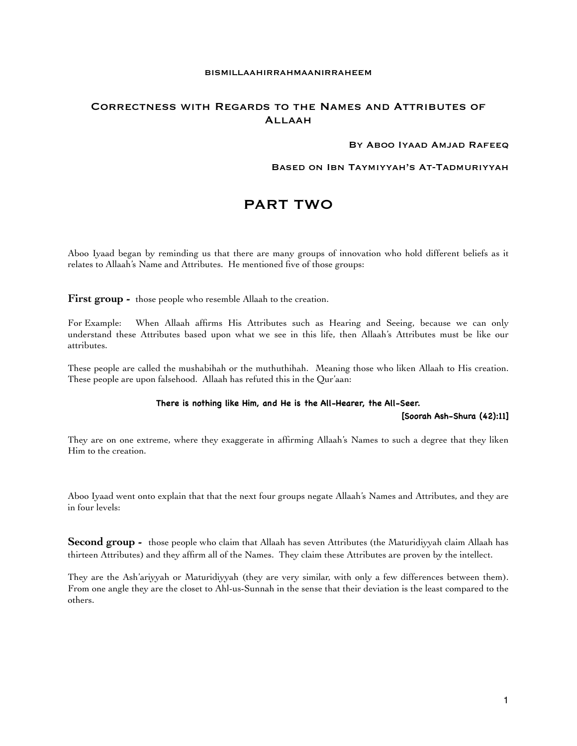#### BISMILLAAHIRRAHMAANIRRAHEEM

## Correctness with Regards to the Names and Attributes of Allaah

## BY ABOO IYAAD AMJAD RAFEEQ

## Based on Ibn Taymiyyah's At-Tadmuriyyah

# PART TWO

Aboo Iyaad began by reminding us that there are many groups of innovation who hold different beliefs as it relates to Allaah's Name and Attributes. He mentioned five of those groups:

First group - those people who resemble Allaah to the creation.

For Example: When Allaah affirms His Attributes such as Hearing and Seeing, because we can only understand these Attributes based upon what we see in this life, then Allaah's Attributes must be like our attributes.

These people are called the mushabihah or the muthuthihah. Meaning those who liken Allaah to His creation. These people are upon falsehood. Allaah has refuted this in the Qur'aan:

## **There is nothing like Him, and He is the All-Hearer, the All-Seer.**

**[Soorah Ash-Shura (42):11]**

They are on one extreme, where they exaggerate in affirming Allaah's Names to such a degree that they liken Him to the creation.

Aboo Iyaad went onto explain that that the next four groups negate Allaah's Names and Attributes, and they are in four levels:

**Second group -** those people who claim that Allaah has seven Attributes (the Maturidiyyah claim Allaah has thirteen Attributes) and they affirm all of the Names. They claim these Attributes are proven by the intellect.

They are the Ash'ariyyah or Maturidiyyah (they are very similar, with only a few differences between them). From one angle they are the closet to Ahl-us-Sunnah in the sense that their deviation is the least compared to the others.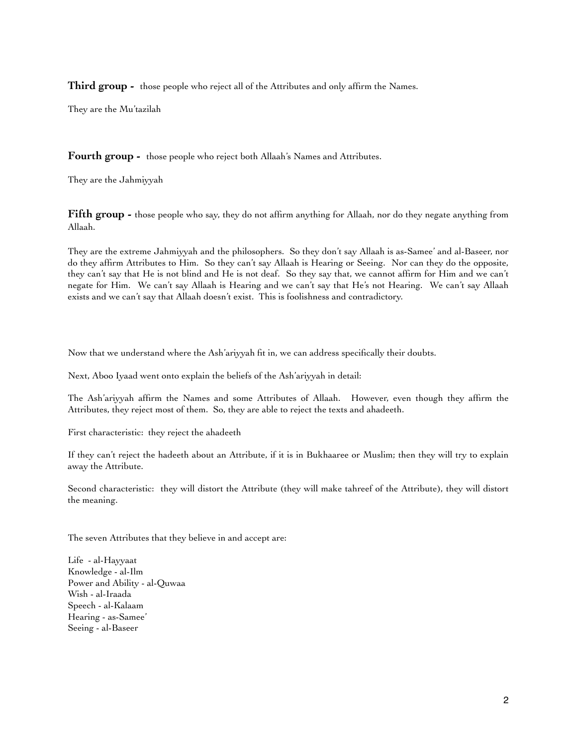**Third group -** those people who reject all of the Attributes and only affirm the Names.

They are the Mu'tazilah

**Fourth group -** those people who reject both Allaah's Names and Attributes.

They are the Jahmiyyah

**Fifth group -** those people who say, they do not affirm anything for Allaah, nor do they negate anything from Allaah.

They are the extreme Jahmiyyah and the philosophers. So they don't say Allaah is as-Samee' and al-Baseer, nor do they affirm Attributes to Him. So they can't say Allaah is Hearing or Seeing. Nor can they do the opposite, they can't say that He is not blind and He is not deaf. So they say that, we cannot affirm for Him and we can't negate for Him. We can't say Allaah is Hearing and we can't say that He's not Hearing. We can't say Allaah exists and we can't say that Allaah doesn't exist. This is foolishness and contradictory.

Now that we understand where the Ash'ariyyah fit in, we can address specifically their doubts.

Next, Aboo Iyaad went onto explain the beliefs of the Ash'ariyyah in detail:

The Ash'ariyyah affirm the Names and some Attributes of Allaah. However, even though they affirm the Attributes, they reject most of them. So, they are able to reject the texts and ahadeeth.

First characteristic: they reject the ahadeeth

If they can't reject the hadeeth about an Attribute, if it is in Bukhaaree or Muslim; then they will try to explain away the Attribute.

Second characteristic: they will distort the Attribute (they will make tahreef of the Attribute), they will distort the meaning.

The seven Attributes that they believe in and accept are:

Life - al-Hayyaat Knowledge - al-Ilm Power and Ability - al-Quwaa Wish - al-Iraada Speech - al-Kalaam Hearing - as-Samee' Seeing - al-Baseer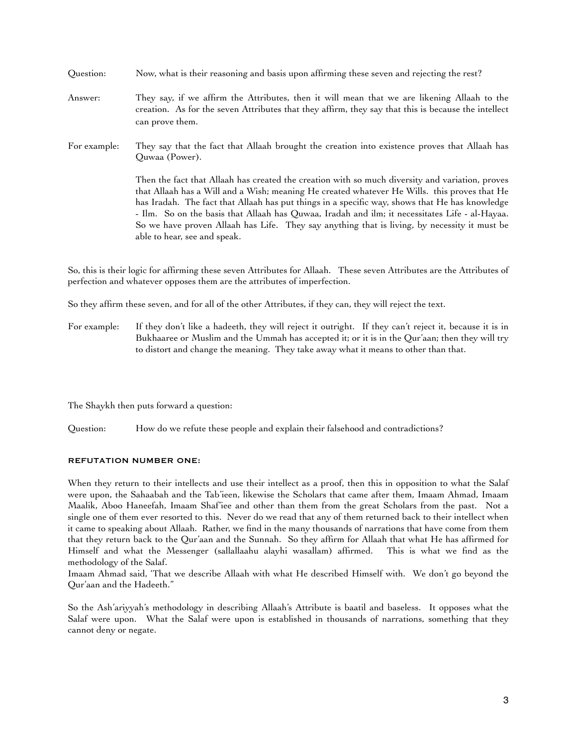| Question:    | Now, what is their reasoning and basis upon affirming these seven and rejecting the rest?                                                                                                                                                                                                                                                                                                                                                                                                                                           |
|--------------|-------------------------------------------------------------------------------------------------------------------------------------------------------------------------------------------------------------------------------------------------------------------------------------------------------------------------------------------------------------------------------------------------------------------------------------------------------------------------------------------------------------------------------------|
| Answer:      | They say, if we affirm the Attributes, then it will mean that we are likening Allaah to the<br>creation. As for the seven Attributes that they affirm, they say that this is because the intellect<br>can prove them.                                                                                                                                                                                                                                                                                                               |
| For example: | They say that the fact that Allaah brought the creation into existence proves that Allaah has<br>Quwaa (Power).                                                                                                                                                                                                                                                                                                                                                                                                                     |
|              | Then the fact that Allaah has created the creation with so much diversity and variation, proves<br>that Allaah has a Will and a Wish; meaning He created whatever He Wills. this proves that He<br>has Iradah. The fact that Allaah has put things in a specific way, shows that He has knowledge<br>- Ilm. So on the basis that Allaah has Quwaa, Iradah and ilm; it necessitates Life - al-Hayaa.<br>So we have proven Allaah has Life. They say anything that is living, by necessity it must be<br>able to hear, see and speak. |

So, this is their logic for affirming these seven Attributes for Allaah. These seven Attributes are the Attributes of perfection and whatever opposes them are the attributes of imperfection.

So they affirm these seven, and for all of the other Attributes, if they can, they will reject the text.

For example: If they don't like a hadeeth, they will reject it outright. If they can't reject it, because it is in Bukhaaree or Muslim and the Ummah has accepted it; or it is in the Qur'aan; then they will try to distort and change the meaning. They take away what it means to other than that.

The Shaykh then puts forward a question:

Question: How do we refute these people and explain their falsehood and contradictions?

## REFUTATION NUMBER ONE:

When they return to their intellects and use their intellect as a proof, then this in opposition to what the Salaf were upon, the Sahaabah and the Tab'ieen, likewise the Scholars that came after them, Imaam Ahmad, Imaam Maalik, Aboo Haneefah, Imaam Shaf'iee and other than them from the great Scholars from the past. Not a single one of them ever resorted to this. Never do we read that any of them returned back to their intellect when it came to speaking about Allaah. Rather, we find in the many thousands of narrations that have come from them that they return back to the Qur'aan and the Sunnah. So they affirm for Allaah that what He has affirmed for Himself and what the Messenger (sallallaahu alayhi wasallam) affirmed. This is what we find as the methodology of the Salaf.

Imaam Ahmad said, 'That we describe Allaah with what He described Himself with. We don't go beyond the Qur'aan and the Hadeeth."

So the Ash'ariyyah's methodology in describing Allaah's Attribute is baatil and baseless. It opposes what the Salaf were upon. What the Salaf were upon is established in thousands of narrations, something that they cannot deny or negate.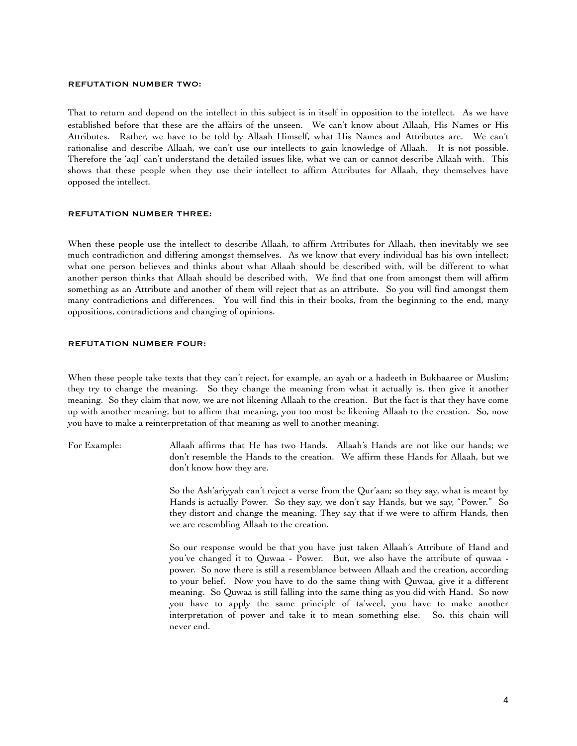#### REFUTATION NUMBER TWO:

That to return and depend on the intellect in this subject is in itself in opposition to the intellect. As we have established before that these are the affairs of the unseen. We can't know about Allaah, His Names or His Attributes. Rather, we have to be told by Allaah Himself, what His Names and Attributes are. We can't rationalise and describe Allaah, we can't use our intellects to gain knowledge of Allaah. It is not possible. Therefore the 'aql' can't understand the detailed issues like, what we can or cannot describe Allaah with. This shows that these people when they use their intellect to affirm Attributes for Allaah, they themselves have opposed the intellect.

#### REFUTATION NUMBER THREE:

When these people use the intellect to describe Allaah, to affirm Attributes for Allaah, then inevitably we see much contradiction and differing amongst themselves. As we know that every individual has his own intellect; what one person believes and thinks about what Allaah should be described with, will be different to what another person thinks that Allaah should be described with. We find that one from amongst them will affirm something as an Attribute and another of them will reject that as an attribute. So you will find amongst them many contradictions and differences. You will find this in their books, from the beginning to the end, many oppositions, contradictions and changing of opinions.

#### REFUTATION NUMBER FOUR:

When these people take texts that they can't reject, for example, an ayah or a hadeeth in Bukhaaree or Muslim; they try to change the meaning. So they change the meaning from what it actually is, then give it another meaning. So they claim that now, we are not likening Allaah to the creation. But the fact is that they have come up with another meaning, but to affirm that meaning, you too must be likening Allaah to the creation. So, now you have to make a reinterpretation of that meaning as well to another meaning.

For Example: Allaah affirms that He has two Hands. Allaah's Hands are not like our hands; we don't resemble the Hands to the creation. We affirm these Hands for Allaah, but we don't know how they are.

> So the Ash'ariyyah can't reject a verse from the Qur'aan; so they say, what is meant by Hands is actually Power. So they say, we don't say Hands, but we say, "Power." So they distort and change the meaning. They say that if we were to affirm Hands, then we are resembling Allaah to the creation.

> So our response would be that you have just taken Allaah's Attribute of Hand and you've changed it to Quwaa - Power. But, we also have the attribute of quwaa - power. So now there is still a resemblance between Allaah and the creation, according to your belief. Now you have to do the same thing with Quwaa, give it a different meaning. So Quwaa is still falling into the same thing as you did with Hand. So now you have to apply the same principle of ta'weel, you have to make another interpretation of power and take it to mean something else. So, this chain will never end.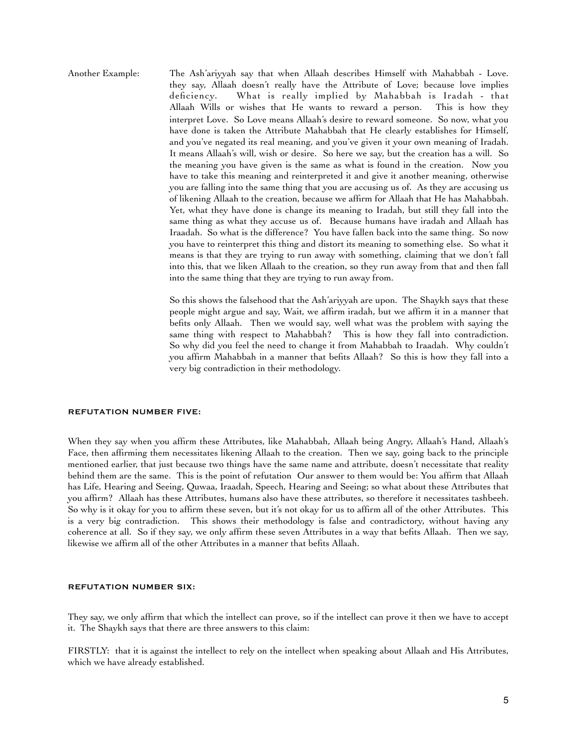Another Example: The Ash'ariyyah say that when Allaah describes Himself with Mahabbah - Love. they say, Allaah doesn't really have the Attribute of Love; because love implies deficiency. What is really implied by Mahabbah is Iradah - that Allaah Wills or wishes that He wants to reward a person. This is how they interpret Love. So Love means Allaah's desire to reward someone. So now, what you have done is taken the Attribute Mahabbah that He clearly establishes for Himself, and you've negated its real meaning, and you've given it your own meaning of Iradah. It means Allaah's will, wish or desire. So here we say, but the creation has a will. So the meaning you have given is the same as what is found in the creation. Now you have to take this meaning and reinterpreted it and give it another meaning, otherwise you are falling into the same thing that you are accusing us of. As they are accusing us of likening Allaah to the creation, because we affirm for Allaah that He has Mahabbah. Yet, what they have done is change its meaning to Iradah, but still they fall into the same thing as what they accuse us of. Because humans have iradah and Allaah has Iraadah. So what is the difference? You have fallen back into the same thing. So now you have to reinterpret this thing and distort its meaning to something else. So what it means is that they are trying to run away with something, claiming that we don't fall into this, that we liken Allaah to the creation, so they run away from that and then fall into the same thing that they are trying to run away from.

> So this shows the falsehood that the Ash'ariyyah are upon. The Shaykh says that these people might argue and say, Wait, we affirm iradah, but we affirm it in a manner that befits only Allaah. Then we would say, well what was the problem with saying the same thing with respect to Mahabbah? This is how they fall into contradiction. So why did you feel the need to change it from Mahabbah to Iraadah. Why couldn't you affirm Mahabbah in a manner that befits Allaah? So this is how they fall into a very big contradiction in their methodology.

#### REFUTATION NUMBER FIVE:

When they say when you affirm these Attributes, like Mahabbah, Allaah being Angry, Allaah's Hand, Allaah's Face, then affirming them necessitates likening Allaah to the creation. Then we say, going back to the principle mentioned earlier, that just because two things have the same name and attribute, doesn't necessitate that reality behind them are the same. This is the point of refutation Our answer to them would be: You affirm that Allaah has Life, Hearing and Seeing, Quwaa, Iraadah, Speech, Hearing and Seeing; so what about these Attributes that you affirm? Allaah has these Attributes, humans also have these attributes, so therefore it necessitates tashbeeh. So why is it okay for you to affirm these seven, but it's not okay for us to affirm all of the other Attributes. This is a very big contradiction. This shows their methodology is false and contradictory, without having any coherence at all. So if they say, we only affirm these seven Attributes in a way that befits Allaah. Then we say, likewise we affirm all of the other Attributes in a manner that befits Allaah.

#### REFUTATION NUMBER SIX:

They say, we only affirm that which the intellect can prove, so if the intellect can prove it then we have to accept it. The Shaykh says that there are three answers to this claim:

FIRSTLY: that it is against the intellect to rely on the intellect when speaking about Allaah and His Attributes, which we have already established.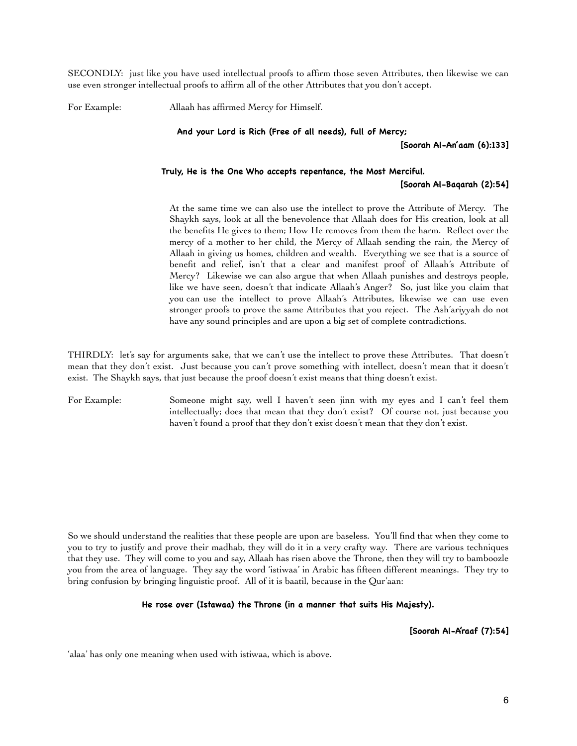SECONDLY: just like you have used intellectual proofs to affirm those seven Attributes, then likewise we can use even stronger intellectual proofs to affirm all of the other Attributes that you don't accept.

For Example: Allaah has affirmed Mercy for Himself.

**And your Lord is Rich (Free of all needs), full of Mercy;**

**[Soorah Al-An'aam (6):133]**

## **Truly, He is the One Who accepts repentance, the Most Merciful. [Soorah Al-Baqarah (2):54]**

 At the same time we can also use the intellect to prove the Attribute of Mercy. The Shaykh says, look at all the benevolence that Allaah does for His creation, look at all the benefits He gives to them; How He removes from them the harm. Reflect over the mercy of a mother to her child, the Mercy of Allaah sending the rain, the Mercy of Allaah in giving us homes, children and wealth. Everything we see that is a source of benefit and relief, isn't that a clear and manifest proof of Allaah's Attribute of Mercy? Likewise we can also argue that when Allaah punishes and destroys people, like we have seen, doesn't that indicate Allaah's Anger? So, just like you claim that you can use the intellect to prove Allaah's Attributes, likewise we can use even stronger proofs to prove the same Attributes that you reject. The Ash'ariyyah do not have any sound principles and are upon a big set of complete contradictions.

THIRDLY: let's say for arguments sake, that we can't use the intellect to prove these Attributes. That doesn't mean that they don't exist. Just because you can't prove something with intellect, doesn't mean that it doesn't exist. The Shaykh says, that just because the proof doesn't exist means that thing doesn't exist.

For Example: Someone might say, well I haven't seen jinn with my eyes and I can't feel them intellectually; does that mean that they don't exist? Of course not, just because you haven't found a proof that they don't exist doesn't mean that they don't exist.

So we should understand the realities that these people are upon are baseless. You'll find that when they come to you to try to justify and prove their madhab, they will do it in a very crafty way. There are various techniques that they use. They will come to you and say, Allaah has risen above the Throne, then they will try to bamboozle you from the area of language. They say the word 'istiwaa' in Arabic has fifteen different meanings. They try to bring confusion by bringing linguistic proof. All of it is baatil, because in the Qur'aan:

## **He rose over (Istawaa) the Throne (in a manner that suits His Majesty).**

**[Soorah Al-A'raaf (7):54]**

'alaa' has only one meaning when used with istiwaa, which is above.